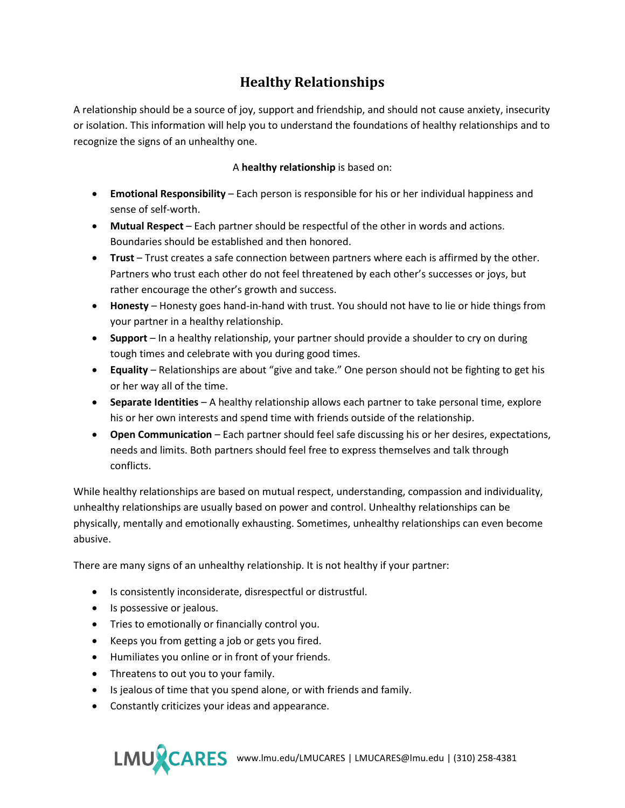## **Healthy Relationships**

A relationship should be a source of joy, support and friendship, and should not cause anxiety, insecurity or isolation. This information will help you to understand the foundations of healthy relationships and to recognize the signs of an unhealthy one.

## A **healthy relationship** is based on:

- **Emotional Responsibility** Each person is responsible for his or her individual happiness and sense of self-worth.
- **Mutual Respect** Each partner should be respectful of the other in words and actions. Boundaries should be established and then honored.
- **Trust** Trust creates a safe connection between partners where each is affirmed by the other. Partners who trust each other do not feel threatened by each other's successes or joys, but rather encourage the other's growth and success.
- **Honesty** Honesty goes hand-in-hand with trust. You should not have to lie or hide things from your partner in a healthy relationship.
- **Support** In a healthy relationship, your partner should provide a shoulder to cry on during tough times and celebrate with you during good times.
- **Equality** Relationships are about "give and take." One person should not be fighting to get his or her way all of the time.
- **Separate Identities** A healthy relationship allows each partner to take personal time, explore his or her own interests and spend time with friends outside of the relationship.
- **Open Communication**  Each partner should feel safe discussing his or her desires, expectations, needs and limits. Both partners should feel free to express themselves and talk through conflicts.

While healthy relationships are based on mutual respect, understanding, compassion and individuality, unhealthy relationships are usually based on power and control. Unhealthy relationships can be physically, mentally and emotionally exhausting. Sometimes, unhealthy relationships can even become abusive.

There are many signs of an unhealthy relationship. It is not healthy if your partner:

- Is consistently inconsiderate, disrespectful or distrustful.
- Is possessive or jealous.
- Tries to emotionally or financially control you.
- Keeps you from getting a job or gets you fired.
- Humiliates you online or in front of your friends.
- Threatens to out you to your family.
- Is jealous of time that you spend alone, or with friends and family.
- Constantly criticizes your ideas and appearance.